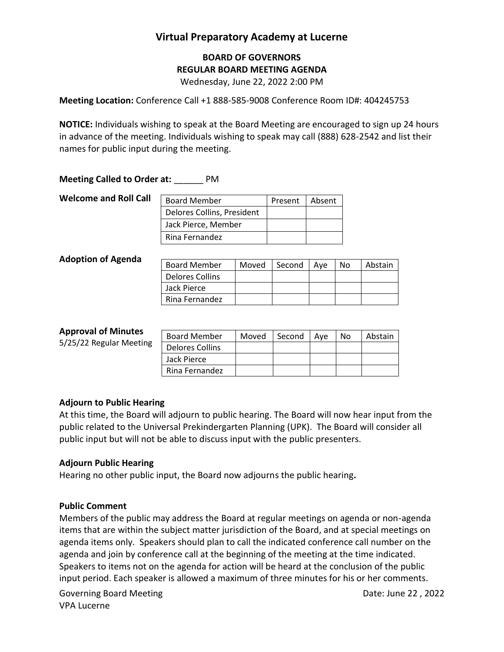# **Virtual Preparatory Academy at Lucerne**

# **BOARD OF GOVERNORS REGULAR BOARD MEETING AGENDA**

Wednesday, June 22, 2022 2:00 PM

**Meeting Location:** Conference Call +1 888-585-9008 Conference Room ID#: 404245753

**NOTICE:** Individuals wishing to speak at the Board Meeting are encouraged to sign up 24 hours in advance of the meeting. Individuals wishing to speak may call (888) 628-2542 and list their names for public input during the meeting.

### **Meeting Called to Order at:** \_\_\_\_\_\_ PM

**Welcome and Roll Call** 

| <b>Board Member</b>        | Present   Absent |  |
|----------------------------|------------------|--|
| Delores Collins, President |                  |  |
| Jack Pierce, Member        |                  |  |
| Rina Fernandez             |                  |  |

#### **Adoption of Agenda**

| <b>Board Member</b> | Moved | Second   Ave | N٥ | Abstain |
|---------------------|-------|--------------|----|---------|
| Delores Collins     |       |              |    |         |
| Jack Pierce         |       |              |    |         |
| Rina Fernandez      |       |              |    |         |

### **Approval of Minutes**

5/25/22 Regular Meeting

| <b>Board Member</b> | Moved | Second | Ave | N٥ | Abstain |
|---------------------|-------|--------|-----|----|---------|
| Delores Collins     |       |        |     |    |         |
| Jack Pierce         |       |        |     |    |         |
| Rina Fernandez      |       |        |     |    |         |

### **Adjourn to Public Hearing**

At this time, the Board will adjourn to public hearing. The Board will now hear input from the public related to the Universal Prekindergarten Planning (UPK). The Board will consider all public input but will not be able to discuss input with the public presenters.

### **Adjourn Public Hearing**

Hearing no other public input, the Board now adjourns the public hearing**.** 

### **Public Comment**

Members of the public may address the Board at regular meetings on agenda or non-agenda items that are within the subject matter jurisdiction of the Board, and at special meetings on agenda items only. Speakers should plan to call the indicated conference call number on the agenda and join by conference call at the beginning of the meeting at the time indicated. Speakers to items not on the agenda for action will be heard at the conclusion of the public input period. Each speaker is allowed a maximum of three minutes for his or her comments.

Governing Board Meeting **Date:** June 22, 2022 VPA Lucerne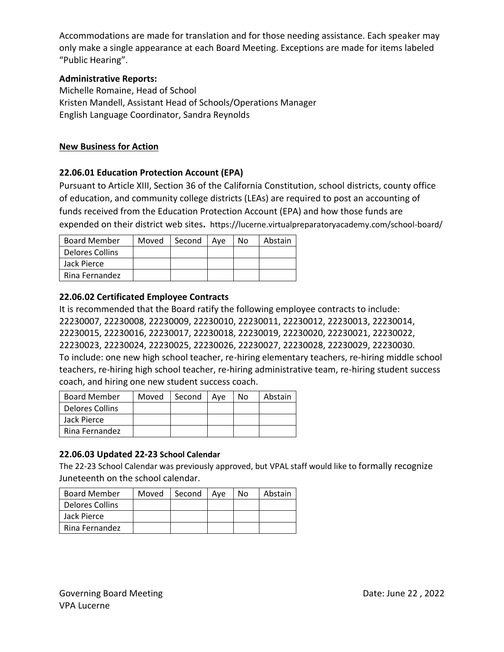Accommodations are made for translation and for those needing assistance. Each speaker may only make a single appearance at each Board Meeting. Exceptions are made for items labeled "Public Hearing".

# **Administrative Reports:**

Michelle Romaine, Head of School Kristen Mandell, Assistant Head of Schools/Operations Manager English Language Coordinator, Sandra Reynolds

## **New Business for Action**

# **22.06.01 Education Protection Account (EPA)**

Pursuant to Article XIII, Section 36 of the California Constitution, school districts, county office of education, and community college districts (LEAs) are required to post an accounting of funds received from the Education Protection Account (EPA) and how those funds are expended on their district web sites**.** https://lucerne.virtualpreparatoryacademy.com/school-board/

| <b>Board Member</b> | Moved | Second | Ave | N٥ | Abstain |
|---------------------|-------|--------|-----|----|---------|
| Delores Collins     |       |        |     |    |         |
| Jack Pierce         |       |        |     |    |         |
| Rina Fernandez      |       |        |     |    |         |

# **22.06.02 Certificated Employee Contracts**

It is recommended that the Board ratify the following employee contracts to include: 22230007, 22230008, 22230009, 22230010, 22230011, 22230012, 22230013, 22230014, 22230015, 22230016, 22230017, 22230018, 22230019, 22230020, 22230021, 22230022, 22230023, 22230024, 22230025, 22230026, 22230027, 22230028, 22230029, 22230030. To include: one new high school teacher, re-hiring elementary teachers, re-hiring middle school teachers, re-hiring high school teacher, re-hiring administrative team, re-hiring student success coach, and hiring one new student success coach.

| <b>Board Member</b>    | Moved | Second | Ave | Nο | Abstain |
|------------------------|-------|--------|-----|----|---------|
| <b>Delores Collins</b> |       |        |     |    |         |
| Jack Pierce            |       |        |     |    |         |
| Rina Fernandez         |       |        |     |    |         |

### **22.06.03 Updated 22-23 School Calendar**

The 22-23 School Calendar was previously approved, but VPAL staff would like to formally recognize Juneteenth on the school calendar.

| <b>Board Member</b> | Moved | Second I | Ave | Nο | Abstain |
|---------------------|-------|----------|-----|----|---------|
| Delores Collins     |       |          |     |    |         |
| Jack Pierce         |       |          |     |    |         |
| Rina Fernandez      |       |          |     |    |         |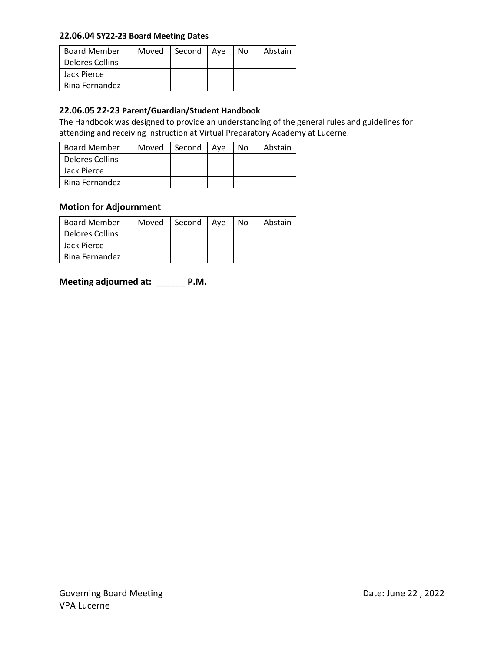#### **22.06.04 SY22-23 Board Meeting Dates**

| <b>Board Member</b> | Moved | Second | Ave | Nο | Abstain |
|---------------------|-------|--------|-----|----|---------|
| Delores Collins     |       |        |     |    |         |
| Jack Pierce         |       |        |     |    |         |
| Rina Fernandez      |       |        |     |    |         |

## **22.06.05 22-23 Parent/Guardian/Student Handbook**

The Handbook was designed to provide an understanding of the general rules and guidelines for attending and receiving instruction at Virtual Preparatory Academy at Lucerne.

| <b>Board Member</b> | Moved L | Second   Ave | No. | Abstain |
|---------------------|---------|--------------|-----|---------|
| Delores Collins     |         |              |     |         |
| Jack Pierce         |         |              |     |         |
| Rina Fernandez      |         |              |     |         |

#### **Motion for Adjournment**

| <b>Board Member</b> | Moved | Second   Ave | N٥ | Abstain |
|---------------------|-------|--------------|----|---------|
| Delores Collins     |       |              |    |         |
| Jack Pierce         |       |              |    |         |
| Rina Fernandez      |       |              |    |         |

# **Meeting adjourned at: \_\_\_\_\_\_ P.M.**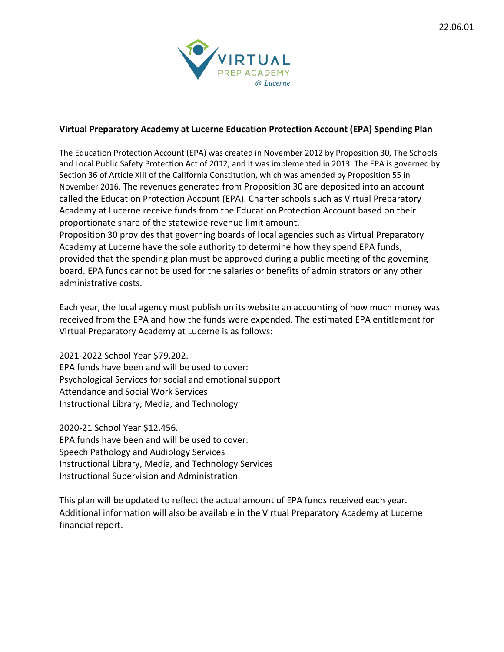

# **Virtual Preparatory Academy at Lucerne Education Protection Account (EPA) Spending Plan**

The Education Protection Account (EPA) was created in November 2012 by Proposition 30, The Schools and Local Public Safety Protection Act of 2012, and it was implemented in 2013. The EPA is governed by Section 36 of Article XIII of the California Constitution, which was amended by Proposition 55 in November 2016. The revenues generated from Proposition 30 are deposited into an account called the Education Protection Account (EPA). Charter schools such as Virtual Preparatory Academy at Lucerne receive funds from the Education Protection Account based on their proportionate share of the statewide revenue limit amount.

Proposition 30 provides that governing boards of local agencies such as Virtual Preparatory Academy at Lucerne have the sole authority to determine how they spend EPA funds, provided that the spending plan must be approved during a public meeting of the governing board. EPA funds cannot be used for the salaries or benefits of administrators or any other administrative costs.

Each year, the local agency must publish on its website an accounting of how much money was received from the EPA and how the funds were expended. The estimated EPA entitlement for Virtual Preparatory Academy at Lucerne is as follows:

2021-2022 School Year \$79,202. EPA funds have been and will be used to cover: Psychological Services for social and emotional support Attendance and Social Work Services Instructional Library, Media, and Technology

2020-21 School Year \$12,456. EPA funds have been and will be used to cover: Speech Pathology and Audiology Services Instructional Library, Media, and Technology Services Instructional Supervision and Administration

This plan will be updated to reflect the actual amount of EPA funds received each year. Additional information will also be available in the Virtual Preparatory Academy at Lucerne financial report.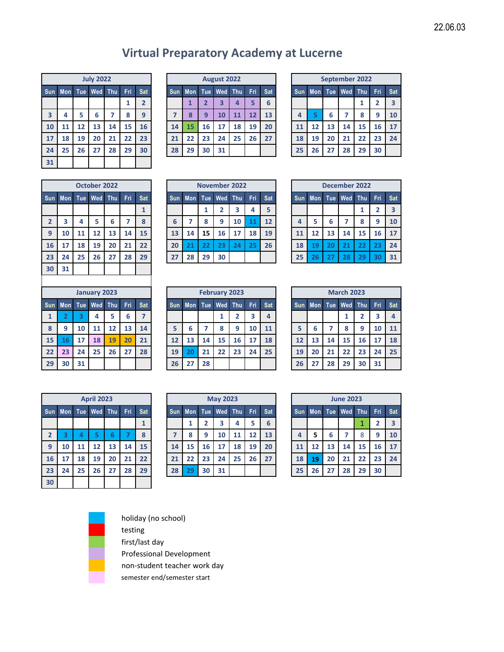|                         | <b>July 2022</b> |                |     |                |    |                |  |  |  |  |  |  |  |  |
|-------------------------|------------------|----------------|-----|----------------|----|----------------|--|--|--|--|--|--|--|--|
| Sun                     | Mon              | <b>Tue</b>     | Fri | <b>Sat</b>     |    |                |  |  |  |  |  |  |  |  |
|                         |                  |                |     |                | 1  | $\overline{2}$ |  |  |  |  |  |  |  |  |
| $\overline{\mathbf{3}}$ | 4                | 5              | 6   | $\overline{7}$ | 8  | 9              |  |  |  |  |  |  |  |  |
| 10                      | 11               | 12<br>13<br>14 |     |                |    | 16             |  |  |  |  |  |  |  |  |
| 17                      | 18               | 19             | 20  | 21             | 22 | 23             |  |  |  |  |  |  |  |  |
| 24                      | 25               | 26             | 27  | 28             | 29 | 30             |  |  |  |  |  |  |  |  |
| 31                      |                  |                |     |                |    |                |  |  |  |  |  |  |  |  |

| <b>July 2022</b>        |            |            |         |    |        | <b>August 2022</b> |    |                 |    |    |            |     | September 2022 |            |            |            |         |    |     |                         |
|-------------------------|------------|------------|---------|----|--------|--------------------|----|-----------------|----|----|------------|-----|----------------|------------|------------|------------|---------|----|-----|-------------------------|
| Sun                     | <b>Mon</b> | <b>Tue</b> | Wed Thu |    | Fri    | <b>Sat</b>         |    | Sun Mon Tue Wed |    |    | <b>Thu</b> | Fri | <b>Sat</b>     | <b>Sun</b> | <b>Mon</b> | <b>Tue</b> | Wed Thu |    | Fri | Sat                     |
|                         |            |            |         |    |        |                    |    |                 |    |    | 4          | 5   | 6              |            |            |            |         |    |     | $\overline{\mathbf{3}}$ |
| $\overline{\mathbf{3}}$ | 4          |            | 6       |    | o<br>o | 9                  |    | $\bullet$       | 9  | 10 | 11         | 12  | 13             | 4          |            | 6          |         | 8  | 9   | <b>10</b>               |
| 10 <sup>°</sup>         | 11         | 12         | 13      | 14 | 15     | 16                 | 14 | 15              | 16 | 17 | 18         | 19  | 20             | 11         | 12         | 13         | 14      | 15 | 16  | 17                      |
| 17 <sup>2</sup>         | 18         | 19         | 20      | 21 | 22     | 23                 | 21 | 22              | 23 | 24 | 25         | 26  | 27             | 18         | 19         | 20         | 21      | 22 | 23  | 24                      |
| 24                      | 25         | 26         | 27      | 28 | 29     | 30                 | 28 | 29              | 30 | 31 |            |     |                | 25         | 26         | 27         | 28      | 29 | 30  |                         |

| September 2022 |     |     |     |     |                |                         |  |  |
|----------------|-----|-----|-----|-----|----------------|-------------------------|--|--|
| Sun            | Mon | Tue | Wed | Thu | Fri.           | <b>Sat</b>              |  |  |
|                |     |     |     | 1   | $\overline{2}$ | $\overline{\mathbf{3}}$ |  |  |
| $\overline{4}$ | 5   | 6   | 7   | 8   | 9              | 10                      |  |  |
| 11             | 12  | 13  | 14  | 15  | 16             | 17                      |  |  |
| 18             | 19  | 20  | 21  | 22  | 23             | 24                      |  |  |
| 25             | 26  | 27  | 28  | 29  | 30             |                         |  |  |

**October 2022 November 2022 December 2022**

|                | October 2022 |     |     |     |                |              |  |  |  |
|----------------|--------------|-----|-----|-----|----------------|--------------|--|--|--|
| Sun            | Mon          | Tue | Wed | Thu | Fri            | <b>Sat</b>   |  |  |  |
|                |              |     |     |     |                | $\mathbf{1}$ |  |  |  |
| $\overline{2}$ | 3            | 4   | 5   | 6   | $\overline{7}$ | 8            |  |  |  |
| 9              | 10           | 11  | 12  | 13  | 14             | 15           |  |  |  |
| 16             | 17           | 18  | 19  | 20  | 21             | 22           |  |  |  |
| 23             | 24           | 25  | 26  | 27  | 28             | 29           |  |  |  |
| 30             | 31           |     |     |     |                |              |  |  |  |
|                |              |     |     |     |                |              |  |  |  |

|              | January 2023   |     |     |     |     |            |  |  |  |
|--------------|----------------|-----|-----|-----|-----|------------|--|--|--|
| Sun          | Mon            | Tue | Wed | Thu | Fri | <b>Sat</b> |  |  |  |
| $\mathbf{1}$ | $\overline{2}$ | 3   | 4   | 5   | 6   | 7          |  |  |  |
| 8            | 9              | 10  | 11  | 12  | 13  | 14         |  |  |  |
| 15           | 16             | 17  | 18  | 19  | 20  | 21         |  |  |  |
| 22           | 23             | 24  | 25  | 26  | 27  | 28         |  |  |  |
| 29           | 30             | 31  |     |     |     |            |  |  |  |

|                |    |    | October 2022        |    |            |     | November 2022 |                     |    |    |    | December 2022 |      |            |            |            |         |    |            |           |
|----------------|----|----|---------------------|----|------------|-----|---------------|---------------------|----|----|----|---------------|------|------------|------------|------------|---------|----|------------|-----------|
|                |    |    | Sun Mon Tue Wed Thu |    | <b>Fri</b> | Sat |               | Sun Mon Tue Wed Thu |    |    |    | Fri           | Sat. | <b>Sun</b> | <b>Mon</b> | <b>Tue</b> | Wed Thu |    | <b>Fri</b> | Sat       |
|                |    |    |                     |    |            |     |               |                     |    |    | з  | 4             |      |            |            |            |         |    |            | -3        |
|                |    |    |                     | 6  |            | 8   | 6             |                     | 8  | 9  | 10 |               | 12   | 4          |            | 6          |         | 8  | 9          | <b>10</b> |
| $\overline{9}$ | 10 | 11 | 12                  | 13 | 14         | 15  | 13            | 14                  | 15 | 16 | 17 | 18            | 19   | 11         | 12         | 13         | 14      | 15 | 16         | 17        |
| 16             | 17 | 18 | 19                  | 20 | 21         | 22  | 20            | 21                  | 22 | 23 | 24 | 25            | 26   | 18         | 19         | 20         | 21      | 22 | 23         | 24        |
| 23             | 24 | 25 | 26                  | 27 | 28         | 29  | 27            | 28                  | 29 | 30 |    |               |      | 25         | 26         | 27         | 28      | 29 | 30         | 31        |
|                |    |    |                     |    |            |     |               |                     |    |    |    |               |      |            |            |            |         |    |            |           |

| lon            |    | Tue Wed Thu    |    | Fri | <b>Sat</b> | s |
|----------------|----|----------------|----|-----|------------|---|
|                | 1  | $\overline{2}$ | 3  | 4   | 5          |   |
| 7              | 8  | 9              | 10 | 11  | 12         |   |
| $\overline{4}$ | 15 | 16             | 17 | 18  | 19         | 1 |
| 21             | 22 | 23             | 24 | 25  | 26         | 1 |
| 28             | 29 | 30             |    |     |            | 2 |
|                |    |                |    |     |            |   |

|     |            |    | January 2023 |    |            |            | <b>February 2023</b> |    |    |                 |    |     | <b>March 2023</b> |            |            |            |         |    |     |                |
|-----|------------|----|--------------|----|------------|------------|----------------------|----|----|-----------------|----|-----|-------------------|------------|------------|------------|---------|----|-----|----------------|
| Sun | <b>Mon</b> |    | Tue Wed Thu  |    | <b>Fri</b> | <b>Sat</b> | <b>Sun</b>           |    |    | Mon Tue Wed Thu |    | Fri | <b>Sat</b>        | <b>Sun</b> | <b>Mon</b> | <b>Tue</b> | Wed Thu |    | Fri | Sat            |
|     |            | 3  | 4            | 5  | 6          |            |                      |    |    |                 |    | 3   | 4                 |            |            |            |         |    | 3   | $\overline{a}$ |
| 8   | 9          | 10 | 11           | 12 | 13         | 14         | 5                    | 6  |    | 8               | 9  | 10  | 11                | 5          | 6          |            | 8       | 9  | 10  | <b>11</b>      |
| 15  | 16         | 17 | 18           | 19 | 20         | 21         | 12                   | 13 | 14 | 15              | 16 | 17  | 18                | 12         | 13         | 14         | 15      | 16 | 17  | 18             |
| 22  | 23         | 24 | 25           | 26 | 27         | 28         | 19                   | 20 | 21 | 22              | 23 | 24  | 25                | 19         | 20         | 21         | 22      | 23 | 24  | -25            |
| 29  | 30         | 31 |              |    |            |            | 26                   | 27 | 28 |                 |    |     |                   | 26         | 27         | 28         | 29      | 30 | 31  |                |

|     | <b>March 2023</b> |                |     |                |     |            |  |  |  |  |
|-----|-------------------|----------------|-----|----------------|-----|------------|--|--|--|--|
| Sun | <b>Mon</b>        | Tue            | Wed | Thu            | Fri | <b>Sat</b> |  |  |  |  |
|     |                   |                | 1   | $\overline{2}$ | 3   | 4          |  |  |  |  |
| 5   | 6                 | $\overline{7}$ | 8   | 9              | 10  | 11         |  |  |  |  |
| 12  | 13                | 14             | 15  | 16             | 17  | 18         |  |  |  |  |
| 19  | 20                | 21             | 22  | 23             | 24  | 25         |  |  |  |  |
| 26  | 27                | 28             | 29  | 30             | 31  |            |  |  |  |  |

| <b>April 2023</b>       |            |                |         |     |     |            |  |  |  |  |
|-------------------------|------------|----------------|---------|-----|-----|------------|--|--|--|--|
| Sun                     | <b>Mon</b> |                | Tue Wed | Thu | Fri | <b>Sat</b> |  |  |  |  |
|                         |            |                |         |     |     | 1          |  |  |  |  |
| $\overline{\mathbf{2}}$ | 3          | $\overline{4}$ | 5       | 6   |     | 8          |  |  |  |  |
| 9                       | 10         | 11             | 12      | 13  | 14  | 15         |  |  |  |  |
| 16                      | 17         | 18             | 19      | 20  | 21  | 22         |  |  |  |  |
| 23                      | 24         | 25             | 26      | 27  | 28  | 29         |  |  |  |  |
| 30                      |            |                |         |     |     |            |  |  |  |  |

|                |                     |    | <b>April 2023</b> |    |            |     | <b>May 2023</b> |                     |    |    |    |            | <b>June 2023</b> |            |                 |            |         |    |            |                         |
|----------------|---------------------|----|-------------------|----|------------|-----|-----------------|---------------------|----|----|----|------------|------------------|------------|-----------------|------------|---------|----|------------|-------------------------|
|                | Sun Mon Tue Wed Thu |    |                   |    | <b>Fri</b> | Sat |                 | Sun Mon Tue Wed Thu |    |    |    | <b>Fri</b> | <b>Sat</b>       | <b>Sun</b> | <b>Mon</b>      | <b>Tue</b> | Wed Thu |    | <b>Fri</b> | Sat                     |
|                |                     |    |                   |    |            |     |                 |                     |    |    | 4  | 5          | 6                |            |                 |            |         |    |            | $\overline{\mathbf{3}}$ |
| $\overline{2}$ |                     |    | 5                 | 6  |            | 8   |                 | 8                   | 9  | 10 | 11 | 12         | 13               | 4          |                 | 6          |         | 8  | 9          | <b>10</b>               |
| $\overline{9}$ | 10                  | 11 | 12                | 13 | 14         | 15  | 14              | 15                  | 16 | 17 | 18 | 19         | 20               | 11         | 12              | 13         | 14      | 15 | 16         | 17                      |
| 16             | 17                  | 18 | 19                | 20 | 21         | 22  | 21              | 22                  | 23 | 24 | 25 | 26         | 27               | 18         | 19 <sub>1</sub> | 20         | 21      | 22 | 23         | 24                      |
| 23             | 24                  | 25 | 26                | 27 | 28         | 29  | 28              | 29                  | 30 | 31 |    |            |                  | 25         | 26              | 27         | 28      | 29 | 30         |                         |

| <b>June 2023</b> |            |     |                |     |                |            |  |  |
|------------------|------------|-----|----------------|-----|----------------|------------|--|--|
| Sun              | <b>Mon</b> | Tue | Wed            | Thu | Fri            | <b>Sat</b> |  |  |
|                  |            |     |                | 1   | $\overline{2}$ | 3          |  |  |
| $\overline{4}$   | 5          | 6   | $\overline{7}$ | 8   | 9              | 10         |  |  |
| 11               | 12         | 13  | 14             | 15  | 16             | 17         |  |  |
| 18               | 19         | 20  | 21             | 22  | 23             | 24         |  |  |
| 25               | 26         | 27  | 28             | 29  | 30             |            |  |  |

holiday (no school) testing

first/last day

Professional Development

non-student teacher work day

semester end/semester start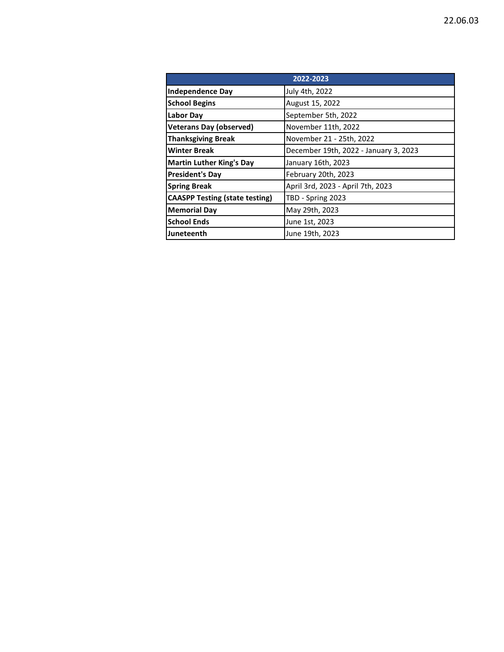|                                       | 2022-2023                             |
|---------------------------------------|---------------------------------------|
| <b>Independence Day</b>               | July 4th, 2022                        |
| <b>School Begins</b>                  | August 15, 2022                       |
| <b>Labor Day</b>                      | September 5th, 2022                   |
| <b>Veterans Day (observed)</b>        | November 11th, 2022                   |
| <b>Thanksgiving Break</b>             | November 21 - 25th, 2022              |
| <b>Winter Break</b>                   | December 19th, 2022 - January 3, 2023 |
| <b>Martin Luther King's Day</b>       | January 16th, 2023                    |
| <b>President's Day</b>                | February 20th, 2023                   |
| <b>Spring Break</b>                   | April 3rd, 2023 - April 7th, 2023     |
| <b>CAASPP Testing (state testing)</b> | TBD - Spring 2023                     |
| <b>Memorial Day</b>                   | May 29th, 2023                        |
| <b>School Ends</b>                    | June 1st, 2023                        |
| Juneteenth                            | June 19th, 2023                       |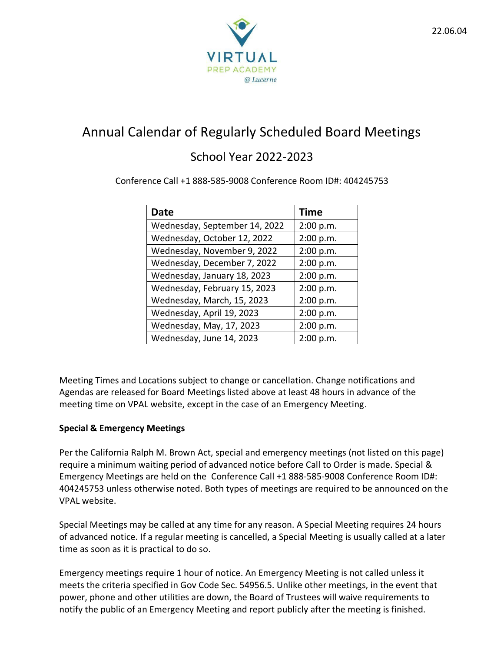

# Annual Calendar of Regularly Scheduled Board Meetings

# School Year 2022-2023

Conference Call +1 888-585-9008 Conference Room ID#: 404245753

| <b>Date</b>                   | <b>Time</b> |
|-------------------------------|-------------|
| Wednesday, September 14, 2022 | 2:00 p.m.   |
| Wednesday, October 12, 2022   | 2:00 p.m.   |
| Wednesday, November 9, 2022   | 2:00 p.m.   |
| Wednesday, December 7, 2022   | 2:00 p.m.   |
| Wednesday, January 18, 2023   | 2:00 p.m.   |
| Wednesday, February 15, 2023  | 2:00 p.m.   |
| Wednesday, March, 15, 2023    | 2:00 p.m.   |
| Wednesday, April 19, 2023     | 2:00 p.m.   |
| Wednesday, May, 17, 2023      | 2:00 p.m.   |
| Wednesday, June 14, 2023      | 2:00 p.m.   |

Meeting Times and Locations subject to change or cancellation. Change notifications and Agendas are released for Board Meetings listed above at least 48 hours in advance of the meeting time on VPAL website, except in the case of an Emergency Meeting.

# **Special & Emergency Meetings**

Per the California Ralph M. Brown Act, special and emergency meetings (not listed on this page) require a minimum waiting period of advanced notice before Call to Order is made. Special & Emergency Meetings are held on the Conference Call +1 888-585-9008 Conference Room ID#: 404245753 unless otherwise noted. Both types of meetings are required to be announced on the VPAL website.

Special Meetings may be called at any time for any reason. A Special Meeting requires 24 hours of advanced notice. If a regular meeting is cancelled, a Special Meeting is usually called at a later time as soon as it is practical to do so.

Emergency meetings require 1 hour of notice. An Emergency Meeting is not called unless it meets the criteria specified in Gov Code Sec. 54956.5. Unlike other meetings, in the event that power, phone and other utilities are down, the Board of Trustees will waive requirements to notify the public of an Emergency Meeting and report publicly after the meeting is finished.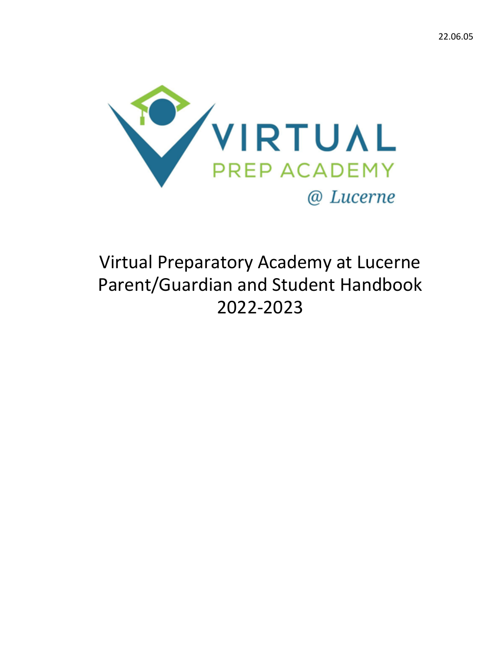

# Virtual Preparatory Academy at Lucerne Parent/Guardian and Student Handbook 2022-2023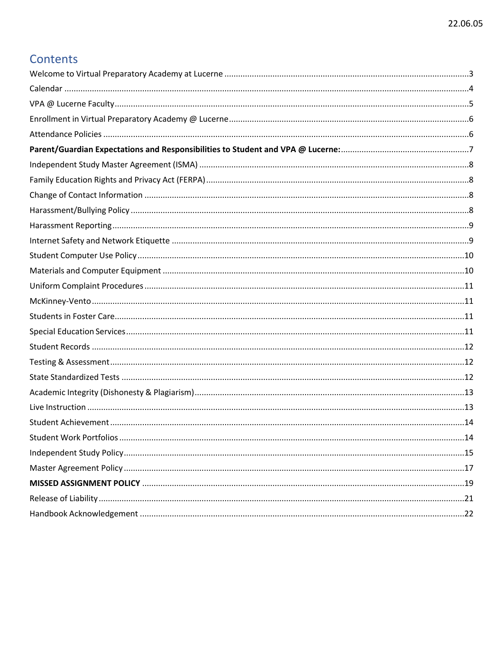# Contents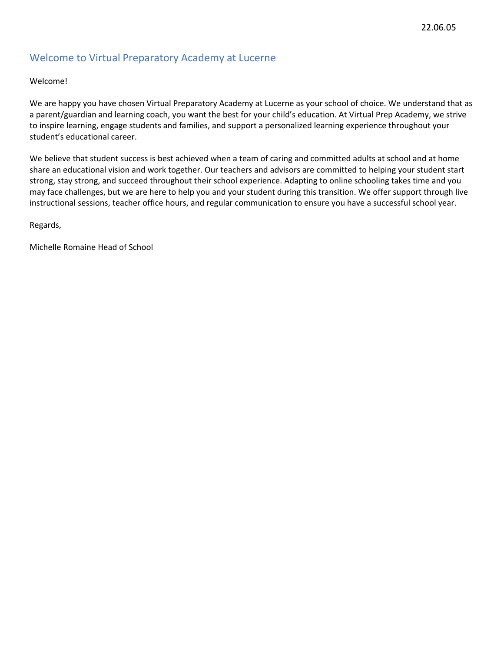# <span id="page-9-0"></span>Welcome to Virtual Preparatory Academy at Lucerne

#### Welcome!

We are happy you have chosen Virtual Preparatory Academy at Lucerne as your school of choice. We understand that as a parent/guardian and learning coach, you want the best for your child's education. At Virtual Prep Academy, we strive to inspire learning, engage students and families, and support a personalized learning experience throughout your student's educational career.

We believe that student success is best achieved when a team of caring and committed adults at school and at home share an educational vision and work together. Our teachers and advisors are committed to helping your student start strong, stay strong, and succeed throughout their school experience. Adapting to online schooling takes time and you may face challenges, but we are here to help you and your student during this transition. We offer support through live instructional sessions, teacher office hours, and regular communication to ensure you have a successful school year.

Regards,

Michelle Romaine Head of School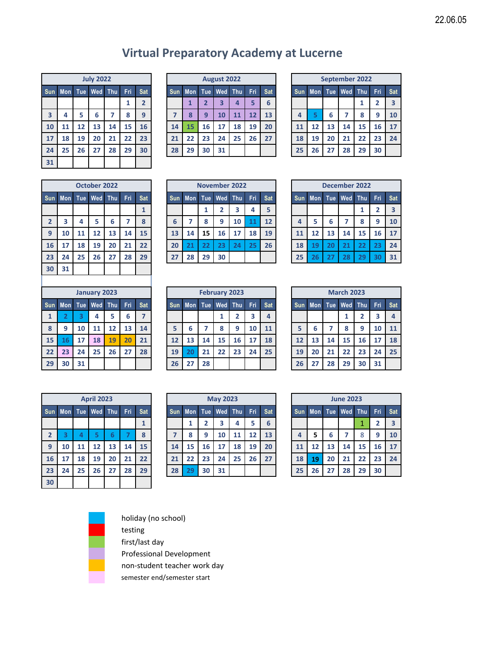| <b>July 2022</b>        |     |     |     |     |     |                |  |  |  |  |  |  |
|-------------------------|-----|-----|-----|-----|-----|----------------|--|--|--|--|--|--|
| Sun                     | Mon | Tue | Wed | Thu | Fri | <b>Sat</b>     |  |  |  |  |  |  |
|                         |     |     |     |     | 1   | $\overline{2}$ |  |  |  |  |  |  |
| $\overline{\mathbf{3}}$ | 4   | 5   | 6   | 7   | 8   | 9              |  |  |  |  |  |  |
| 10                      | 11  | 12  | 13  | 14  | 15  | 16             |  |  |  |  |  |  |
| 17                      | 18  | 19  | 20  | 21  | 22  | 23             |  |  |  |  |  |  |
| 24                      | 25  | 26  | 27  | 28  | 29  | 30             |  |  |  |  |  |  |
| 31                      |     |     |     |     |     |                |  |  |  |  |  |  |

|  | <b>Virtual Preparatory Academy at Lucerne</b> |  |  |  |
|--|-----------------------------------------------|--|--|--|
|--|-----------------------------------------------|--|--|--|

| <b>Fri</b><br>Wed Thu   | Sat       |
|-------------------------|-----------|
|                         |           |
| $\overline{\mathbf{3}}$ |           |
| 9                       | <b>10</b> |
| -17<br>16               |           |
| 23                      | 24        |
| 30                      |           |
| 8<br>22<br>29           | 15        |

| September 2022 |                         |            |    |    |                |                         |  |  |  |  |  |
|----------------|-------------------------|------------|----|----|----------------|-------------------------|--|--|--|--|--|
| Sun            | Mon                     | <b>Sat</b> |    |    |                |                         |  |  |  |  |  |
|                |                         |            |    | 1  | $\overline{2}$ | $\overline{\mathbf{3}}$ |  |  |  |  |  |
| $\overline{4}$ | $\overline{\mathbf{5}}$ | 6          | 7  | 8  | 9              | 10                      |  |  |  |  |  |
| 11             | 12                      | 13         | 14 | 15 | 16             | 17                      |  |  |  |  |  |
| 18             | 19                      | 20         | 21 | 22 | 23             | 24                      |  |  |  |  |  |
| 25             | 26                      | 27         | 28 | 29 | 30             |                         |  |  |  |  |  |

|                         | <b>October 2022</b>                    |              |    |                      |    |              |  |  |  |  |  |  |
|-------------------------|----------------------------------------|--------------|----|----------------------|----|--------------|--|--|--|--|--|--|
| Sun                     | Wed<br>Fri<br>Thu<br>Mon<br>Tue<br>Sat |              |    |                      |    |              |  |  |  |  |  |  |
|                         |                                        |              |    |                      |    | $\mathbf{1}$ |  |  |  |  |  |  |
| $\overline{\mathbf{2}}$ | 3                                      | 4            | 5  | 6                    | 7  | 8            |  |  |  |  |  |  |
| 9                       | 10                                     | 11           | 12 | 13                   | 14 | 15           |  |  |  |  |  |  |
| 16                      | 17                                     | 18           | 19 | 20                   | 21 | 22           |  |  |  |  |  |  |
| 23                      | 24                                     | 25           | 26 | 27                   | 28 | 29           |  |  |  |  |  |  |
| 30                      | 31                                     |              |    |                      |    |              |  |  |  |  |  |  |
|                         |                                        |              |    |                      |    |              |  |  |  |  |  |  |
|                         |                                        | $\mathbf{r}$ |    | $\sum_{n=1}^{n} a_n$ |    |              |  |  |  |  |  |  |

| January 2023 |                |                         |            |    |    |    |  |  |  |  |  |
|--------------|----------------|-------------------------|------------|----|----|----|--|--|--|--|--|
| Sun          | <b>Mon</b>     | Fri                     | <b>Sat</b> |    |    |    |  |  |  |  |  |
| $\mathbf{1}$ | $\overline{2}$ | $\overline{\mathbf{3}}$ | 4          | 5  | 6  |    |  |  |  |  |  |
| 8            | 9              | 10                      | 11         | 12 | 13 | 14 |  |  |  |  |  |
| 15           | 16             | 17                      | 18         | 19 | 20 | 21 |  |  |  |  |  |
| 22           | 23             | 24                      | 25         | 26 | 27 | 28 |  |  |  |  |  |
| 29           | 30             | 31                      |            |    |    |    |  |  |  |  |  |

|                |         |    | October 2022 |    |      |     |    | <b>November 2022</b> |    |    |    |            |     |            |            | December 2022 |         |    |            |                         |
|----------------|---------|----|--------------|----|------|-----|----|----------------------|----|----|----|------------|-----|------------|------------|---------------|---------|----|------------|-------------------------|
|                | Sun Mon |    | Tue Wed Thu  |    | Fri. | Sat |    | Sun Mon Tue Wed Thu  |    |    |    | <b>Fri</b> | Sat | <b>Sun</b> | <b>Mon</b> | <b>Tue</b>    | Wed Thu |    | <b>Fri</b> | Sat                     |
|                |         |    |              |    |      |     |    |                      |    |    | з  |            |     |            |            |               |         |    |            | $\overline{\mathbf{3}}$ |
| $\overline{2}$ |         |    |              | 6  |      | 8   | 6  |                      | 8  | 9  | 10 |            | 12  | 4          |            | 6             |         | 8  | 9          | <b>10</b>               |
| $\overline{9}$ | 10      | 11 | 12           | 13 | 14   | 15  | 13 | 14                   | 15 | 16 | 17 | 18         | 19  | 11         | 12         | 13            | 14      | 15 | 16         | 17                      |
| 16             | 17      | 18 | 19           | 20 | 21   | 22  | 20 | 21                   | 22 | 23 | 24 | 25         | 26  | 18         | 19         | 20            | 21      | 22 | 23         | 24                      |
| 23             | 24      | 25 | 26           | 27 | 28   | 29  | 27 | 28                   | 29 | 30 |    |            |     | 25         | 26         | 27            | 28      | 29 | 30         | 31                      |
|                |         |    |              |    |      |     |    |                      |    |    |    |            |     |            |            |               |         |    |            |                         |

| January 2023 |    |            |    |            |             | <b>February 2023</b> |    |    |    |    |     | <b>March 2023</b>   |            |            |            |    |    |      |                |
|--------------|----|------------|----|------------|-------------|----------------------|----|----|----|----|-----|---------------------|------------|------------|------------|----|----|------|----------------|
|              |    |            |    | <b>Fri</b> | Sat         |                      |    |    |    |    | Fri | <b>Sat</b>          | <b>Sun</b> | <b>Mon</b> | <b>Tue</b> |    |    | Fri. | Sat            |
|              | 3  | 4          | 5  | 6          |             |                      |    |    |    |    | 3   | 4                   |            |            |            |    |    | 3    | $\overline{a}$ |
| 9            | 10 | 11         | 12 | 13         | 14          | 5                    | 6  |    | 8  | 9  | 10  | 11                  |            | 6          |            | 8  | 9  | 10   | <b>11</b>      |
| 16           | 17 | 18         | 19 | 20         | 21          | 12                   | 13 | 14 | 15 | 16 | 17  | 18                  | 12         | 13         | 14         | 15 | 16 | 17   | 18             |
| 23           | 24 | 25         | 26 | 27         | 28          | 19                   | 20 | 21 | 22 | 23 | 24  | 25                  | 19         | 20         | 21         | 22 | 23 | 24   | -25            |
| 30           | 31 |            |    |            |             | 26                   | 27 | 28 |    |    |     |                     | 26         | 27         | 28         | 29 | 30 | 31   |                |
|              |    | <b>Mon</b> |    |            | Tue Wed Thu |                      |    |    |    |    |     | Sun Mon Tue Wed Thu |            |            |            |    |    |      | Wed Thu        |

| December 2022  |     |                   |                |    |                |                         |  |  |  |  |  |
|----------------|-----|-------------------|----------------|----|----------------|-------------------------|--|--|--|--|--|
| Sun            | Mon | Wed<br>Thu<br>Tue |                |    |                | <b>Sat</b>              |  |  |  |  |  |
|                |     |                   |                | 1  | $\overline{2}$ | $\overline{\mathbf{3}}$ |  |  |  |  |  |
| $\overline{4}$ | 5   | 6                 | $\overline{7}$ | 8  | 9              | 10                      |  |  |  |  |  |
| 11             | 12  | 13                | 14             | 15 | 16             | 17                      |  |  |  |  |  |
| 18             | 19  | 20                | 21             | 22 | 23             | 24                      |  |  |  |  |  |
| 25             | 26  | 27                | 28             | 29 | 30             | 31                      |  |  |  |  |  |

| <b>March 2023</b> |            |     |    |                |    |    |  |  |  |  |  |
|-------------------|------------|-----|----|----------------|----|----|--|--|--|--|--|
| Sun               | <b>Mon</b> | Sat |    |                |    |    |  |  |  |  |  |
|                   |            |     | 1  | $\overline{2}$ | 3  | 4  |  |  |  |  |  |
| 5                 | 6          | 7   | 8  | 9              | 10 | 11 |  |  |  |  |  |
| 12                | 13         | 14  | 15 | 16             | 17 | 18 |  |  |  |  |  |
| 19                | 20         | 21  | 22 | 23             | 24 | 25 |  |  |  |  |  |
| 26                | 27         | 28  | 29 | 30             | 31 |    |  |  |  |  |  |

| <b>April 2023</b> |            |     |                 |     |     |              |  |  |  |  |  |  |
|-------------------|------------|-----|-----------------|-----|-----|--------------|--|--|--|--|--|--|
| Sun               | <b>Mon</b> | Tue | Wed             | Thu | Fri | <b>Sat</b>   |  |  |  |  |  |  |
|                   |            |     |                 |     |     | $\mathbf{1}$ |  |  |  |  |  |  |
| $\overline{2}$    | 3          | 4   | 5               | 6   |     | 8            |  |  |  |  |  |  |
| 9                 | 10         | 11  | 12 <sup>2</sup> | 13  | 14  | 15           |  |  |  |  |  |  |
| 16                | 17         | 18  | 19              | 20  | 21  | 22           |  |  |  |  |  |  |
| 23                | 24         | 25  | 26              | 27  | 28  | 29           |  |  |  |  |  |  |
| 30                |            |     |                 |     |     |              |  |  |  |  |  |  |

| <b>April 2023</b> |                     |    |    |    | <b>May 2023</b> |     |            |                 |    | <b>June 2023</b> |    |            |            |     |                 |            |         |    |     |           |
|-------------------|---------------------|----|----|----|-----------------|-----|------------|-----------------|----|------------------|----|------------|------------|-----|-----------------|------------|---------|----|-----|-----------|
|                   | Sun Mon Tue Wed Thu |    |    |    | <b>Fri</b>      | Sat | <b>Sun</b> | Mon Tue Wed Thu |    |                  |    | <b>Fri</b> | <b>Sat</b> | Sun | <b>Mon</b>      | <b>Tue</b> | Wed Thu |    | Fri | Sat       |
|                   |                     |    |    |    |                 |     |            |                 |    |                  | 4  | 5          | 6          |     |                 |            |         |    |     | -3        |
| $\overline{2}$    |                     |    | 5  | 6  |                 | 8   |            | 8               | 9  | 10               | 11 | 12         | 13         | 4   |                 | 6          |         | 8  | 9   | <b>10</b> |
| $\overline{9}$    | 10                  | 11 | 12 | 13 | 14              | 15  | 14         | 15              | 16 | 17               | 18 | 19         | 20         | 11  | 12              | 13         | 14      | 15 | 16  | -17       |
| 16                | 17                  | 18 | 19 | 20 | 21              | 22  | 21         | 22              | 23 | 24               | 25 | 26         | 27         | 18  | 19 <sub>1</sub> | 20         | 21      | 22 | 23  | 24        |
| 23                | 24                  | 25 | 26 | 27 | 28              | 29  | 28         | 29              | 30 | 31               |    |            |            | 25  | 26              | 27         | 28      | 29 | 30  |           |

| <b>June 2023</b> |            |     |     |     |                |                         |  |  |  |  |  |
|------------------|------------|-----|-----|-----|----------------|-------------------------|--|--|--|--|--|
| Sun              | <b>Mon</b> | Tue | Wed | Thu | Fri            | <b>Sat</b>              |  |  |  |  |  |
|                  |            |     |     | 1   | $\overline{2}$ | $\overline{\mathbf{3}}$ |  |  |  |  |  |
| 4                | 5          | 6   | 7   | 8   | 9              | 10                      |  |  |  |  |  |
| 11               | 12         | 13  | 14  | 15  | 16             | 17                      |  |  |  |  |  |
| 18               | 19         | 20  | 21  | 22  | 23             | 24                      |  |  |  |  |  |
| 25               | 26         | 27  | 28  | 29  | 30             |                         |  |  |  |  |  |

holiday (no school) testing first/last day

Professional Development

non-student teacher work day

semester end/semester start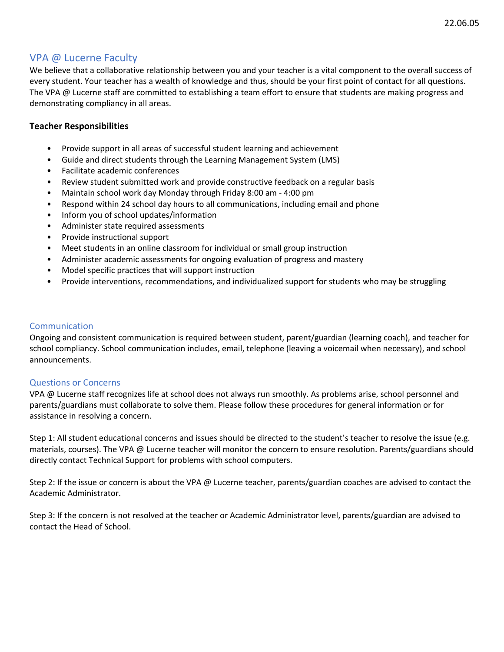# <span id="page-11-0"></span>VPA @ Lucerne Faculty

We believe that a collaborative relationship between you and your teacher is a vital component to the overall success of every student. Your teacher has a wealth of knowledge and thus, should be your first point of contact for all questions. The VPA @ Lucerne staff are committed to establishing a team effort to ensure that students are making progress and demonstrating compliancy in all areas.

#### **Teacher Responsibilities**

- Provide support in all areas of successful student learning and achievement
- Guide and direct students through the Learning Management System (LMS)
- Facilitate academic conferences
- Review student submitted work and provide constructive feedback on a regular basis
- Maintain school work day Monday through Friday 8:00 am 4:00 pm
- Respond within 24 school day hours to all communications, including email and phone
- Inform you of school updates/information
- Administer state required assessments
- Provide instructional support
- Meet students in an online classroom for individual or small group instruction
- Administer academic assessments for ongoing evaluation of progress and mastery
- Model specific practices that will support instruction
- Provide interventions, recommendations, and individualized support for students who may be struggling

#### Communication

Ongoing and consistent communication is required between student, parent/guardian (learning coach), and teacher for school compliancy. School communication includes, email, telephone (leaving a voicemail when necessary), and school announcements.

#### Questions or Concerns

VPA @ Lucerne staff recognizes life at school does not always run smoothly. As problems arise, school personnel and parents/guardians must collaborate to solve them. Please follow these procedures for general information or for assistance in resolving a concern.

Step 1: All student educational concerns and issues should be directed to the student's teacher to resolve the issue (e.g. materials, courses). The VPA @ Lucerne teacher will monitor the concern to ensure resolution. Parents/guardians should directly contact Technical Support for problems with school computers.

Step 2: If the issue or concern is about the VPA @ Lucerne teacher, parents/guardian coaches are advised to contact the Academic Administrator.

Step 3: If the concern is not resolved at the teacher or Academic Administrator level, parents/guardian are advised to contact the Head of School.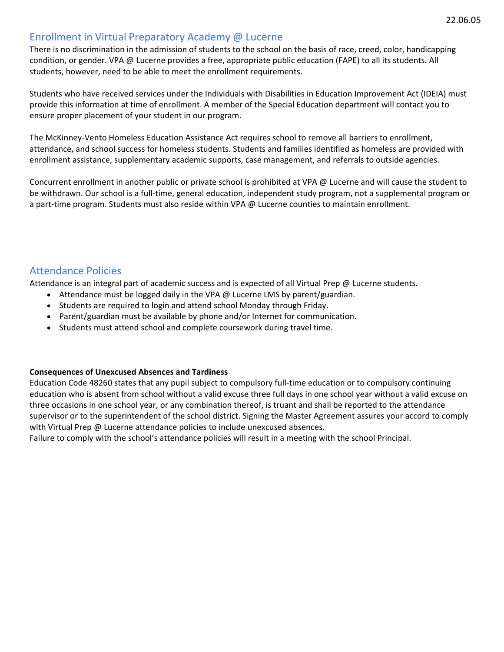#### 22.06.05

# <span id="page-12-0"></span>Enrollment in Virtual Preparatory Academy @ Lucerne

There is no discrimination in the admission of students to the school on the basis of race, creed, color, handicapping condition, or gender. VPA @ Lucerne provides a free, appropriate public education (FAPE) to all its students. All students, however, need to be able to meet the enrollment requirements.

Students who have received services under the Individuals with Disabilities in Education Improvement Act (IDEIA) must provide this information at time of enrollment. A member of the Special Education department will contact you to ensure proper placement of your student in our program.

The McKinney-Vento Homeless Education Assistance Act requires school to remove all barriers to enrollment, attendance, and school success for homeless students. Students and families identified as homeless are provided with enrollment assistance, supplementary academic supports, case management, and referrals to outside agencies.

Concurrent enrollment in another public or private school is prohibited at VPA @ Lucerne and will cause the student to be withdrawn. Our school is a full-time, general education, independent study program, not a supplemental program or a part-time program. Students must also reside within VPA @ Lucerne counties to maintain enrollment.

# <span id="page-12-1"></span>Attendance Policies

Attendance is an integral part of academic success and is expected of all Virtual Prep @ Lucerne students.

- Attendance must be logged daily in the VPA @ Lucerne LMS by parent/guardian.
- Students are required to login and attend school Monday through Friday.
- Parent/guardian must be available by phone and/or Internet for communication.
- Students must attend school and complete coursework during travel time.

#### **Consequences of Unexcused Absences and Tardiness**

Education Code 48260 states that any pupil subject to compulsory full-time education or to compulsory continuing education who is absent from school without a valid excuse three full days in one school year without a valid excuse on three occasions in one school year, or any combination thereof, is truant and shall be reported to the attendance supervisor or to the superintendent of the school district. Signing the Master Agreement assures your accord to comply with Virtual Prep @ Lucerne attendance policies to include unexcused absences.

Failure to comply with the school's attendance policies will result in a meeting with the school Principal.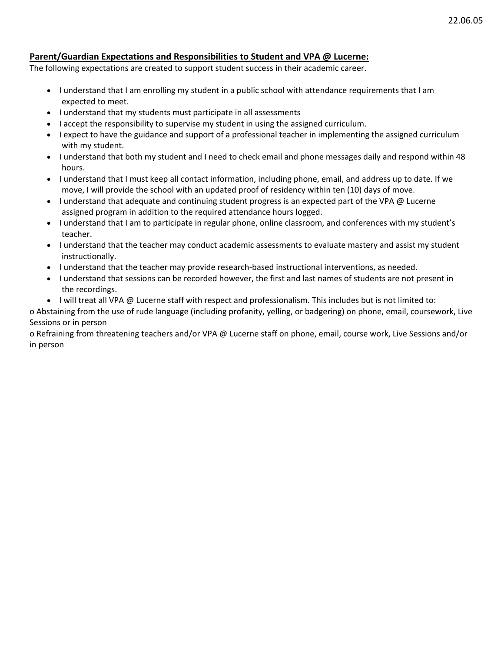#### <span id="page-13-0"></span>**Parent/Guardian Expectations and Responsibilities to Student and VPA @ Lucerne:**

The following expectations are created to support student success in their academic career.

- I understand that I am enrolling my student in a public school with attendance requirements that I am expected to meet.
- I understand that my students must participate in all assessments
- I accept the responsibility to supervise my student in using the assigned curriculum.
- I expect to have the guidance and support of a professional teacher in implementing the assigned curriculum with my student.
- I understand that both my student and I need to check email and phone messages daily and respond within 48 hours.
- I understand that I must keep all contact information, including phone, email, and address up to date. If we move, I will provide the school with an updated proof of residency within ten (10) days of move.
- I understand that adequate and continuing student progress is an expected part of the VPA @ Lucerne assigned program in addition to the required attendance hours logged.
- I understand that I am to participate in regular phone, online classroom, and conferences with my student's teacher.
- I understand that the teacher may conduct academic assessments to evaluate mastery and assist my student instructionally.
- I understand that the teacher may provide research-based instructional interventions, as needed.
- I understand that sessions can be recorded however, the first and last names of students are not present in the recordings.
- I will treat all VPA @ Lucerne staff with respect and professionalism. This includes but is not limited to:

o Abstaining from the use of rude language (including profanity, yelling, or badgering) on phone, email, coursework, Live Sessions or in person

o Refraining from threatening teachers and/or VPA @ Lucerne staff on phone, email, course work, Live Sessions and/or in person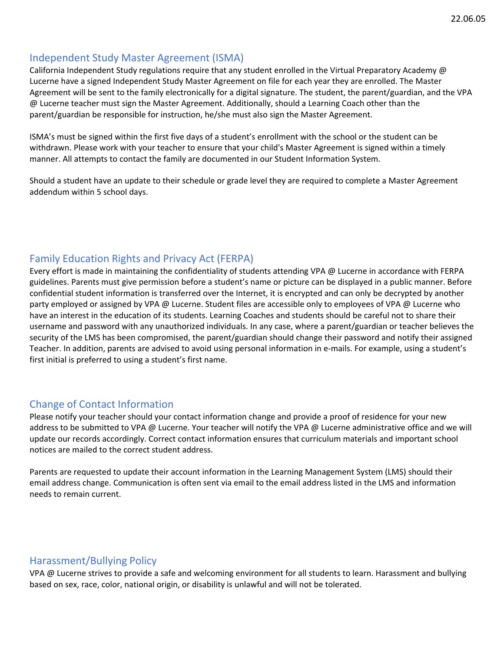# <span id="page-14-0"></span>Independent Study Master Agreement (ISMA)

California Independent Study regulations require that any student enrolled in the Virtual Preparatory Academy @ Lucerne have a signed Independent Study Master Agreement on file for each year they are enrolled. The Master Agreement will be sent to the family electronically for a digital signature. The student, the parent/guardian, and the VPA @ Lucerne teacher must sign the Master Agreement. Additionally, should a Learning Coach other than the parent/guardian be responsible for instruction, he/she must also sign the Master Agreement.

ISMA's must be signed within the first five days of a student's enrollment with the school or the student can be withdrawn. Please work with your teacher to ensure that your child's Master Agreement is signed within a timely manner. All attempts to contact the family are documented in our Student Information System.

Should a student have an update to their schedule or grade level they are required to complete a Master Agreement addendum within 5 school days.

# <span id="page-14-1"></span>Family Education Rights and Privacy Act (FERPA)

Every effort is made in maintaining the confidentiality of students attending VPA @ Lucerne in accordance with FERPA guidelines. Parents must give permission before a student's name or picture can be displayed in a public manner. Before confidential student information is transferred over the Internet, it is encrypted and can only be decrypted by another party employed or assigned by VPA @ Lucerne. Student files are accessible only to employees of VPA @ Lucerne who have an interest in the education of its students. Learning Coaches and students should be careful not to share their username and password with any unauthorized individuals. In any case, where a parent/guardian or teacher believes the security of the LMS has been compromised, the parent/guardian should change their password and notify their assigned Teacher. In addition, parents are advised to avoid using personal information in e-mails. For example, using a student's first initial is preferred to using a student's first name.

# <span id="page-14-2"></span>Change of Contact Information

Please notify your teacher should your contact information change and provide a proof of residence for your new address to be submitted to VPA @ Lucerne. Your teacher will notify the VPA @ Lucerne administrative office and we will update our records accordingly. Correct contact information ensures that curriculum materials and important school notices are mailed to the correct student address.

Parents are requested to update their account information in the Learning Management System (LMS) should their email address change. Communication is often sent via email to the email address listed in the LMS and information needs to remain current.

# <span id="page-14-3"></span>Harassment/Bullying Policy

VPA @ Lucerne strives to provide a safe and welcoming environment for all students to learn. Harassment and bullying based on sex, race, color, national origin, or disability is unlawful and will not be tolerated.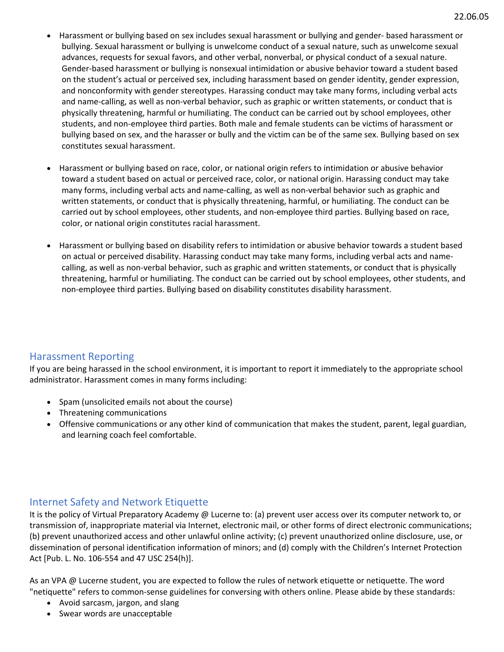- Harassment or bullying based on sex includes sexual harassment or bullying and gender- based harassment or bullying. Sexual harassment or bullying is unwelcome conduct of a sexual nature, such as unwelcome sexual advances, requests for sexual favors, and other verbal, nonverbal, or physical conduct of a sexual nature. Gender-based harassment or bullying is nonsexual intimidation or abusive behavior toward a student based on the student's actual or perceived sex, including harassment based on gender identity, gender expression, and nonconformity with gender stereotypes. Harassing conduct may take many forms, including verbal acts and name-calling, as well as non-verbal behavior, such as graphic or written statements, or conduct that is physically threatening, harmful or humiliating. The conduct can be carried out by school employees, other students, and non-employee third parties. Both male and female students can be victims of harassment or bullying based on sex, and the harasser or bully and the victim can be of the same sex. Bullying based on sex constitutes sexual harassment.
- Harassment or bullying based on race, color, or national origin refers to intimidation or abusive behavior toward a student based on actual or perceived race, color, or national origin. Harassing conduct may take many forms, including verbal acts and name-calling, as well as non-verbal behavior such as graphic and written statements, or conduct that is physically threatening, harmful, or humiliating. The conduct can be carried out by school employees, other students, and non-employee third parties. Bullying based on race, color, or national origin constitutes racial harassment.
- Harassment or bullying based on disability refers to intimidation or abusive behavior towards a student based on actual or perceived disability. Harassing conduct may take many forms, including verbal acts and namecalling, as well as non-verbal behavior, such as graphic and written statements, or conduct that is physically threatening, harmful or humiliating. The conduct can be carried out by school employees, other students, and non-employee third parties. Bullying based on disability constitutes disability harassment.

# <span id="page-15-0"></span>Harassment Reporting

If you are being harassed in the school environment, it is important to report it immediately to the appropriate school administrator. Harassment comes in many forms including:

- Spam (unsolicited emails not about the course)
- Threatening communications
- Offensive communications or any other kind of communication that makes the student, parent, legal guardian, and learning coach feel comfortable.

# <span id="page-15-1"></span>Internet Safety and Network Etiquette

It is the policy of Virtual Preparatory Academy @ Lucerne to: (a) prevent user access over its computer network to, or transmission of, inappropriate material via Internet, electronic mail, or other forms of direct electronic communications; (b) prevent unauthorized access and other unlawful online activity; (c) prevent unauthorized online disclosure, use, or dissemination of personal identification information of minors; and (d) comply with the Children's Internet Protection Act [Pub. L. No. 106-554 and 47 USC 254(h)].

As an VPA @ Lucerne student, you are expected to follow the rules of network etiquette or netiquette. The word "netiquette" refers to common-sense guidelines for conversing with others online. Please abide by these standards:

- Avoid sarcasm, jargon, and slang
- Swear words are unacceptable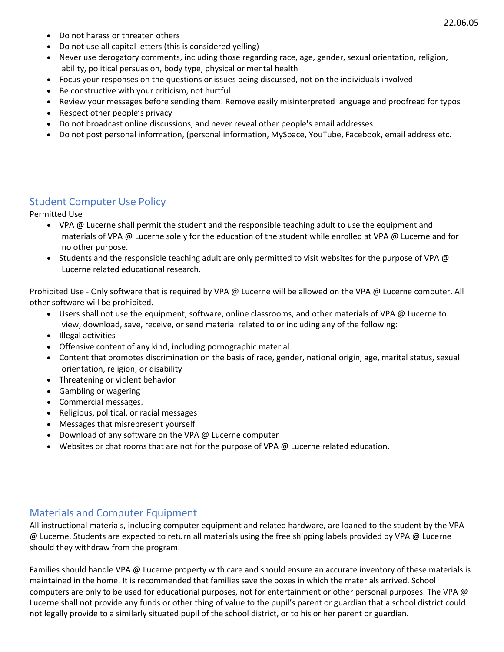- Do not harass or threaten others
- Do not use all capital letters (this is considered yelling)
- Never use derogatory comments, including those regarding race, age, gender, sexual orientation, religion, ability, political persuasion, body type, physical or mental health
- Focus your responses on the questions or issues being discussed, not on the individuals involved
- Be constructive with your criticism, not hurtful
- Review your messages before sending them. Remove easily misinterpreted language and proofread for typos
- Respect other people's privacy
- Do not broadcast online discussions, and never reveal other people's email addresses
- Do not post personal information, (personal information, MySpace, YouTube, Facebook, email address etc.

# <span id="page-16-0"></span>Student Computer Use Policy

Permitted Use

- VPA @ Lucerne shall permit the student and the responsible teaching adult to use the equipment and materials of VPA @ Lucerne solely for the education of the student while enrolled at VPA @ Lucerne and for no other purpose.
- Students and the responsible teaching adult are only permitted to visit websites for the purpose of VPA @ Lucerne related educational research.

Prohibited Use - Only software that is required by VPA @ Lucerne will be allowed on the VPA @ Lucerne computer. All other software will be prohibited.

- Users shall not use the equipment, software, online classrooms, and other materials of VPA @ Lucerne to view, download, save, receive, or send material related to or including any of the following:
- Illegal activities
- Offensive content of any kind, including pornographic material
- Content that promotes discrimination on the basis of race, gender, national origin, age, marital status, sexual orientation, religion, or disability
- Threatening or violent behavior
- Gambling or wagering
- Commercial messages.
- Religious, political, or racial messages
- Messages that misrepresent yourself
- Download of any software on the VPA @ Lucerne computer
- Websites or chat rooms that are not for the purpose of VPA @ Lucerne related education.

# <span id="page-16-1"></span>Materials and Computer Equipment

All instructional materials, including computer equipment and related hardware, are loaned to the student by the VPA @ Lucerne. Students are expected to return all materials using the free shipping labels provided by VPA @ Lucerne should they withdraw from the program.

Families should handle VPA @ Lucerne property with care and should ensure an accurate inventory of these materials is maintained in the home. It is recommended that families save the boxes in which the materials arrived. School computers are only to be used for educational purposes, not for entertainment or other personal purposes. The VPA @ Lucerne shall not provide any funds or other thing of value to the pupil's parent or guardian that a school district could not legally provide to a similarly situated pupil of the school district, or to his or her parent or guardian.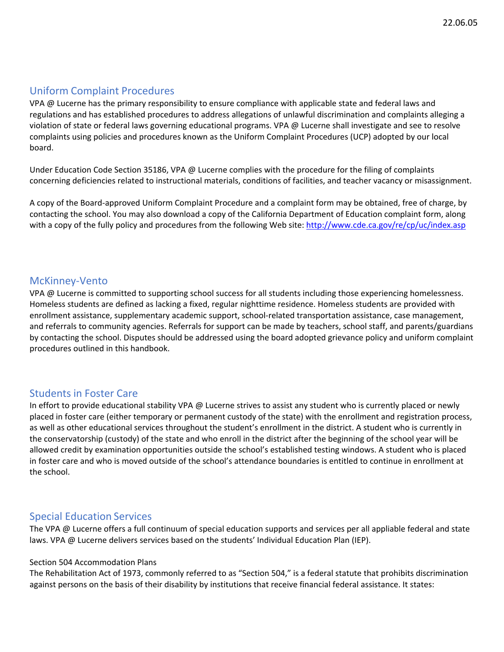# <span id="page-17-0"></span>Uniform Complaint Procedures

VPA @ Lucerne has the primary responsibility to ensure compliance with applicable state and federal laws and regulations and has established procedures to address allegations of unlawful discrimination and complaints alleging a violation of state or federal laws governing educational programs. VPA @ Lucerne shall investigate and see to resolve complaints using policies and procedures known as the Uniform Complaint Procedures (UCP) adopted by our local board.

Under Education Code Section 35186, VPA @ Lucerne complies with the procedure for the filing of complaints concerning deficiencies related to instructional materials, conditions of facilities, and teacher vacancy or misassignment.

A copy of the Board-approved Uniform Complaint Procedure and a complaint form may be obtained, free of charge, by contacting the school. You may also download a copy of the California Department of Education complaint form, along with a copy of the fully policy and procedures from the following Web site:<http://www.cde.ca.gov/re/cp/uc/index.asp>

# <span id="page-17-1"></span>McKinney-Vento

VPA @ Lucerne is committed to supporting school success for all students including those experiencing homelessness. Homeless students are defined as lacking a fixed, regular nighttime residence. Homeless students are provided with enrollment assistance, supplementary academic support, school-related transportation assistance, case management, and referrals to community agencies. Referrals for support can be made by teachers, school staff, and parents/guardians by contacting the school. Disputes should be addressed using the board adopted grievance policy and uniform complaint procedures outlined in this handbook.

# <span id="page-17-2"></span>Students in Foster Care

In effort to provide educational stability VPA @ Lucerne strives to assist any student who is currently placed or newly placed in foster care (either temporary or permanent custody of the state) with the enrollment and registration process, as well as other educational services throughout the student's enrollment in the district. A student who is currently in the conservatorship (custody) of the state and who enroll in the district after the beginning of the school year will be allowed credit by examination opportunities outside the school's established testing windows. A student who is placed in foster care and who is moved outside of the school's attendance boundaries is entitled to continue in enrollment at the school.

# <span id="page-17-3"></span>Special Education Services

The VPA @ Lucerne offers a full continuum of special education supports and services per all appliable federal and state laws. VPA @ Lucerne delivers services based on the students' Individual Education Plan (IEP).

#### Section 504 Accommodation Plans

The Rehabilitation Act of 1973, commonly referred to as "Section 504," is a federal statute that prohibits discrimination against persons on the basis of their disability by institutions that receive financial federal assistance. It states: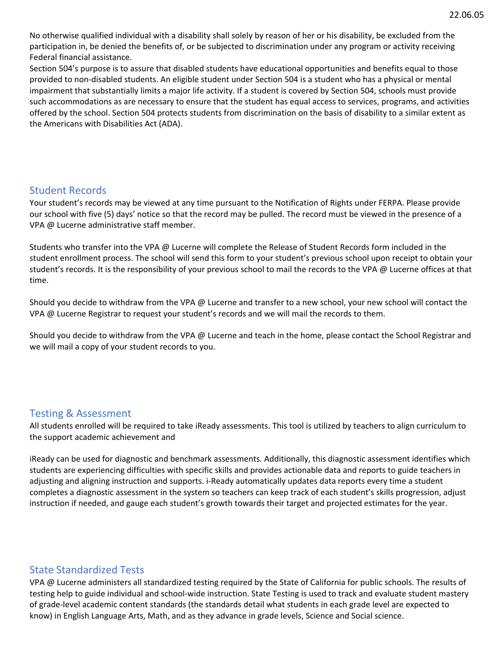No otherwise qualified individual with a disability shall solely by reason of her or his disability, be excluded from the participation in, be denied the benefits of, or be subjected to discrimination under any program or activity receiving Federal financial assistance.

Section 504's purpose is to assure that disabled students have educational opportunities and benefits equal to those provided to non-disabled students. An eligible student under Section 504 is a student who has a physical or mental impairment that substantially limits a major life activity. If a student is covered by Section 504, schools must provide such accommodations as are necessary to ensure that the student has equal access to services, programs, and activities offered by the school. Section 504 protects students from discrimination on the basis of disability to a similar extent as the Americans with Disabilities Act (ADA).

## <span id="page-18-0"></span>Student Records

Your student's records may be viewed at any time pursuant to the Notification of Rights under FERPA. Please provide our school with five (5) days' notice so that the record may be pulled. The record must be viewed in the presence of a VPA @ Lucerne administrative staff member.

Students who transfer into the VPA @ Lucerne will complete the Release of Student Records form included in the student enrollment process. The school will send this form to your student's previous school upon receipt to obtain your student's records. It is the responsibility of your previous school to mail the records to the VPA @ Lucerne offices at that time.

Should you decide to withdraw from the VPA @ Lucerne and transfer to a new school, your new school will contact the VPA @ Lucerne Registrar to request your student's records and we will mail the records to them.

Should you decide to withdraw from the VPA @ Lucerne and teach in the home, please contact the School Registrar and we will mail a copy of your student records to you.

# <span id="page-18-1"></span>Testing & Assessment

All students enrolled will be required to take iReady assessments. This tool is utilized by teachers to align curriculum to the support academic achievement and

iReady can be used for diagnostic and benchmark assessments. Additionally, this diagnostic assessment identifies which students are experiencing difficulties with specific skills and provides actionable data and reports to guide teachers in adjusting and aligning instruction and supports. i-Ready automatically updates data reports every time a student completes a diagnostic assessment in the system so teachers can keep track of each student's skills progression, adjust instruction if needed, and gauge each student's growth towards their target and projected estimates for the year.

# <span id="page-18-2"></span>State Standardized Tests

VPA @ Lucerne administers all standardized testing required by the State of California for public schools. The results of testing help to guide individual and school-wide instruction. State Testing is used to track and evaluate student mastery of grade-level academic content standards (the standards detail what students in each grade level are expected to know) in English Language Arts, Math, and as they advance in grade levels, Science and Social science.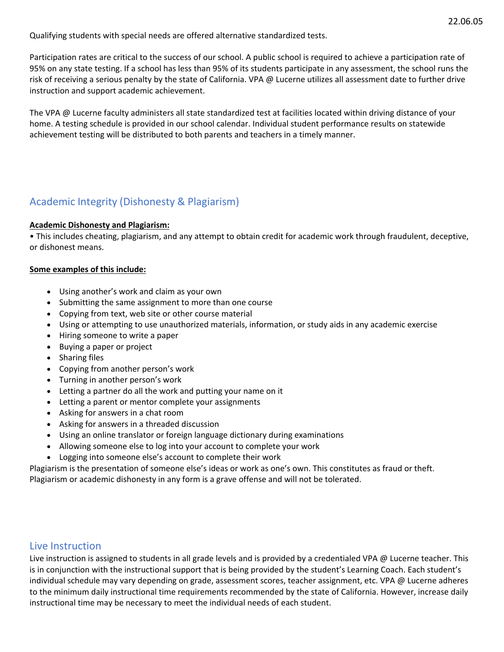Qualifying students with special needs are offered alternative standardized tests.

Participation rates are critical to the success of our school. A public school is required to achieve a participation rate of 95% on any state testing. If a school has less than 95% of its students participate in any assessment, the school runs the risk of receiving a serious penalty by the state of California. VPA @ Lucerne utilizes all assessment date to further drive instruction and support academic achievement.

The VPA @ Lucerne faculty administers all state standardized test at facilities located within driving distance of your home. A testing schedule is provided in our school calendar. Individual student performance results on statewide achievement testing will be distributed to both parents and teachers in a timely manner.

# <span id="page-19-0"></span>Academic Integrity (Dishonesty & Plagiarism)

#### **Academic Dishonesty and Plagiarism:**

• This includes cheating, plagiarism, and any attempt to obtain credit for academic work through fraudulent, deceptive, or dishonest means.

#### **Some examples of this include:**

- Using another's work and claim as your own
- Submitting the same assignment to more than one course
- Copying from text, web site or other course material
- Using or attempting to use unauthorized materials, information, or study aids in any academic exercise
- Hiring someone to write a paper
- Buying a paper or project
- Sharing files
- Copying from another person's work
- Turning in another person's work
- Letting a partner do all the work and putting your name on it
- Letting a parent or mentor complete your assignments
- Asking for answers in a chat room
- Asking for answers in a threaded discussion
- Using an online translator or foreign language dictionary during examinations
- Allowing someone else to log into your account to complete your work
- Logging into someone else's account to complete their work

Plagiarism is the presentation of someone else's ideas or work as one's own. This constitutes as fraud or theft.

Plagiarism or academic dishonesty in any form is a grave offense and will not be tolerated.

### <span id="page-19-1"></span>Live Instruction

Live instruction is assigned to students in all grade levels and is provided by a credentialed VPA @ Lucerne teacher. This is in conjunction with the instructional support that is being provided by the student's Learning Coach. Each student's individual schedule may vary depending on grade, assessment scores, teacher assignment, etc. VPA @ Lucerne adheres to the minimum daily instructional time requirements recommended by the state of California. However, increase daily instructional time may be necessary to meet the individual needs of each student.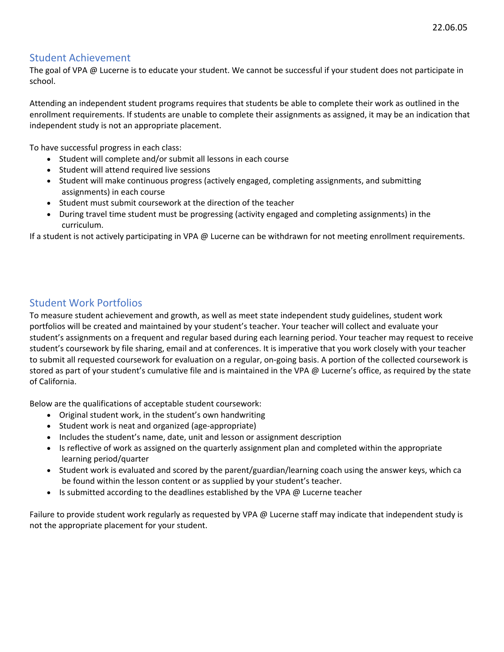# <span id="page-20-0"></span>Student Achievement

The goal of VPA @ Lucerne is to educate your student. We cannot be successful if your student does not participate in school.

Attending an independent student programs requires that students be able to complete their work as outlined in the enrollment requirements. If students are unable to complete their assignments as assigned, it may be an indication that independent study is not an appropriate placement.

To have successful progress in each class:

- Student will complete and/or submit all lessons in each course
- Student will attend required live sessions
- Student will make continuous progress (actively engaged, completing assignments, and submitting assignments) in each course
- Student must submit coursework at the direction of the teacher
- During travel time student must be progressing (activity engaged and completing assignments) in the curriculum.

If a student is not actively participating in VPA  $\omega$  Lucerne can be withdrawn for not meeting enrollment requirements.

# <span id="page-20-1"></span>Student Work Portfolios

To measure student achievement and growth, as well as meet state independent study guidelines, student work portfolios will be created and maintained by your student's teacher. Your teacher will collect and evaluate your student's assignments on a frequent and regular based during each learning period. Your teacher may request to receive student's coursework by file sharing, email and at conferences. It is imperative that you work closely with your teacher to submit all requested coursework for evaluation on a regular, on-going basis. A portion of the collected coursework is stored as part of your student's cumulative file and is maintained in the VPA @ Lucerne's office, as required by the state of California.

Below are the qualifications of acceptable student coursework:

- Original student work, in the student's own handwriting
- Student work is neat and organized (age-appropriate)
- Includes the student's name, date, unit and lesson or assignment description
- Is reflective of work as assigned on the quarterly assignment plan and completed within the appropriate learning period/quarter
- Student work is evaluated and scored by the parent/guardian/learning coach using the answer keys, which ca be found within the lesson content or as supplied by your student's teacher.
- Is submitted according to the deadlines established by the VPA @ Lucerne teacher

Failure to provide student work regularly as requested by VPA @ Lucerne staff may indicate that independent study is not the appropriate placement for your student.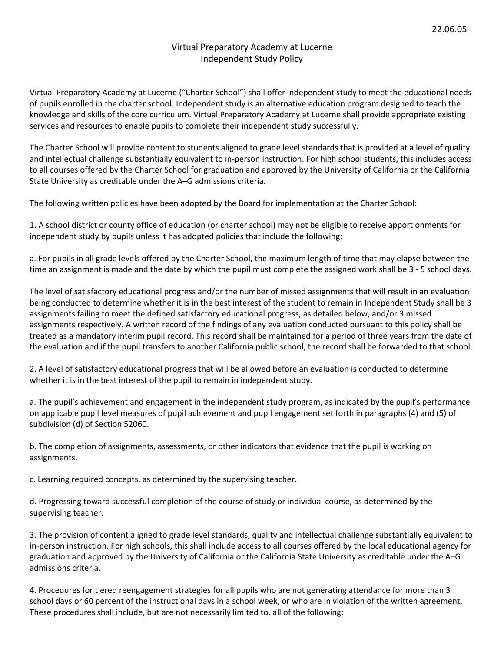# <span id="page-21-0"></span>Virtual Preparatory Academy at Lucerne Independent Study Policy

Virtual Preparatory Academy at Lucerne ("Charter School") shall offer independent study to meet the educational needs of pupils enrolled in the charter school. Independent study is an alternative education program designed to teach the knowledge and skills of the core curriculum. Virtual Preparatory Academy at Lucerne shall provide appropriate existing services and resources to enable pupils to complete their independent study successfully.

The Charter School will provide content to students aligned to grade level standards that is provided at a level of quality and intellectual challenge substantially equivalent to in-person instruction. For high school students, this includes access to all courses offered by the Charter School for graduation and approved by the University of California or the California State University as creditable under the A–G admissions criteria.

The following written policies have been adopted by the Board for implementation at the Charter School:

1. A school district or county office of education (or charter school) may not be eligible to receive apportionments for independent study by pupils unless it has adopted policies that include the following:

a. For pupils in all grade levels offered by the Charter School, the maximum length of time that may elapse between the time an assignment is made and the date by which the pupil must complete the assigned work shall be 3 - 5 school days.

The level of satisfactory educational progress and/or the number of missed assignments that will result in an evaluation being conducted to determine whether it is in the best interest of the student to remain in Independent Study shall be 3 assignments failing to meet the defined satisfactory educational progress, as detailed below, and/or 3 missed assignments respectively. A written record of the findings of any evaluation conducted pursuant to this policy shall be treated as a mandatory interim pupil record. This record shall be maintained for a period of three years from the date of the evaluation and if the pupil transfers to another California public school, the record shall be forwarded to that school.

2. A level of satisfactory educational progress that will be allowed before an evaluation is conducted to determine whether it is in the best interest of the pupil to remain in independent study.

a. The pupil's achievement and engagement in the independent study program, as indicated by the pupil's performance on applicable pupil level measures of pupil achievement and pupil engagement set forth in paragraphs (4) and (5) of subdivision (d) of Section 52060.

b. The completion of assignments, assessments, or other indicators that evidence that the pupil is working on assignments.

c. Learning required concepts, as determined by the supervising teacher.

d. Progressing toward successful completion of the course of study or individual course, as determined by the supervising teacher.

3. The provision of content aligned to grade level standards, quality and intellectual challenge substantially equivalent to in-person instruction. For high schools, this shall include access to all courses offered by the local educational agency for graduation and approved by the University of California or the California State University as creditable under the A–G admissions criteria.

4. Procedures for tiered reengagement strategies for all pupils who are not generating attendance for more than 3 school days or 60 percent of the instructional days in a school week, or who are in violation of the written agreement. These procedures shall include, but are not necessarily limited to, all of the following: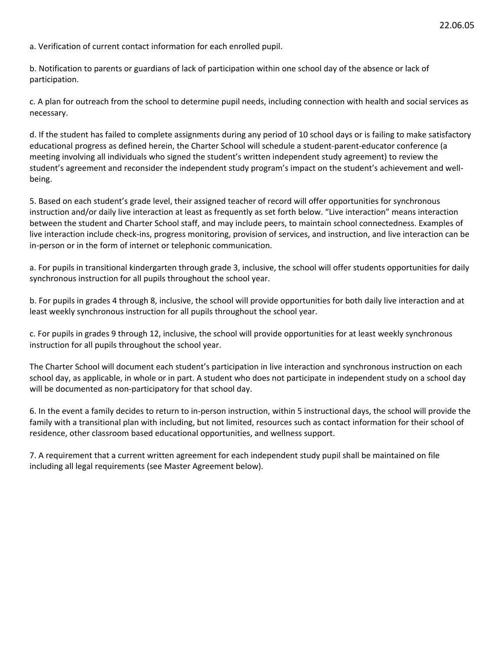a. Verification of current contact information for each enrolled pupil.

b. Notification to parents or guardians of lack of participation within one school day of the absence or lack of participation.

c. A plan for outreach from the school to determine pupil needs, including connection with health and social services as necessary.

d. If the student has failed to complete assignments during any period of 10 school days or is failing to make satisfactory educational progress as defined herein, the Charter School will schedule a student-parent-educator conference (a meeting involving all individuals who signed the student's written independent study agreement) to review the student's agreement and reconsider the independent study program's impact on the student's achievement and wellbeing.

5. Based on each student's grade level, their assigned teacher of record will offer opportunities for synchronous instruction and/or daily live interaction at least as frequently as set forth below. "Live interaction" means interaction between the student and Charter School staff, and may include peers, to maintain school connectedness. Examples of live interaction include check-ins, progress monitoring, provision of services, and instruction, and live interaction can be in-person or in the form of internet or telephonic communication.

a. For pupils in transitional kindergarten through grade 3, inclusive, the school will offer students opportunities for daily synchronous instruction for all pupils throughout the school year.

b. For pupils in grades 4 through 8, inclusive, the school will provide opportunities for both daily live interaction and at least weekly synchronous instruction for all pupils throughout the school year.

c. For pupils in grades 9 through 12, inclusive, the school will provide opportunities for at least weekly synchronous instruction for all pupils throughout the school year.

The Charter School will document each student's participation in live interaction and synchronous instruction on each school day, as applicable, in whole or in part. A student who does not participate in independent study on a school day will be documented as non-participatory for that school day.

6. In the event a family decides to return to in-person instruction, within 5 instructional days, the school will provide the family with a transitional plan with including, but not limited, resources such as contact information for their school of residence, other classroom based educational opportunities, and wellness support.

7. A requirement that a current written agreement for each independent study pupil shall be maintained on file including all legal requirements (see Master Agreement below).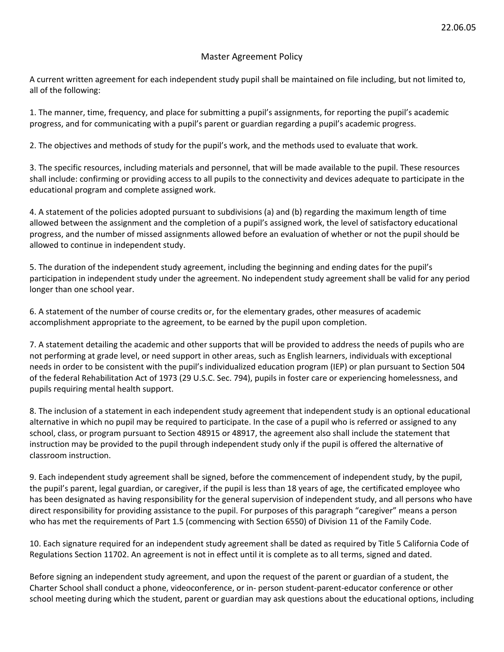## <span id="page-23-0"></span>Master Agreement Policy

A current written agreement for each independent study pupil shall be maintained on file including, but not limited to, all of the following:

1. The manner, time, frequency, and place for submitting a pupil's assignments, for reporting the pupil's academic progress, and for communicating with a pupil's parent or guardian regarding a pupil's academic progress.

2. The objectives and methods of study for the pupil's work, and the methods used to evaluate that work.

3. The specific resources, including materials and personnel, that will be made available to the pupil. These resources shall include: confirming or providing access to all pupils to the connectivity and devices adequate to participate in the educational program and complete assigned work.

4. A statement of the policies adopted pursuant to subdivisions (a) and (b) regarding the maximum length of time allowed between the assignment and the completion of a pupil's assigned work, the level of satisfactory educational progress, and the number of missed assignments allowed before an evaluation of whether or not the pupil should be allowed to continue in independent study.

5. The duration of the independent study agreement, including the beginning and ending dates for the pupil's participation in independent study under the agreement. No independent study agreement shall be valid for any period longer than one school year.

6. A statement of the number of course credits or, for the elementary grades, other measures of academic accomplishment appropriate to the agreement, to be earned by the pupil upon completion.

7. A statement detailing the academic and other supports that will be provided to address the needs of pupils who are not performing at grade level, or need support in other areas, such as English learners, individuals with exceptional needs in order to be consistent with the pupil's individualized education program (IEP) or plan pursuant to Section 504 of the federal Rehabilitation Act of 1973 (29 U.S.C. Sec. 794), pupils in foster care or experiencing homelessness, and pupils requiring mental health support.

8. The inclusion of a statement in each independent study agreement that independent study is an optional educational alternative in which no pupil may be required to participate. In the case of a pupil who is referred or assigned to any school, class, or program pursuant to Section 48915 or 48917, the agreement also shall include the statement that instruction may be provided to the pupil through independent study only if the pupil is offered the alternative of classroom instruction.

9. Each independent study agreement shall be signed, before the commencement of independent study, by the pupil, the pupil's parent, legal guardian, or caregiver, if the pupil is less than 18 years of age, the certificated employee who has been designated as having responsibility for the general supervision of independent study, and all persons who have direct responsibility for providing assistance to the pupil. For purposes of this paragraph "caregiver" means a person who has met the requirements of Part 1.5 (commencing with Section 6550) of Division 11 of the Family Code.

10. Each signature required for an independent study agreement shall be dated as required by Title 5 California Code of Regulations Section 11702. An agreement is not in effect until it is complete as to all terms, signed and dated.

Before signing an independent study agreement, and upon the request of the parent or guardian of a student, the Charter School shall conduct a phone, videoconference, or in- person student-parent-educator conference or other school meeting during which the student, parent or guardian may ask questions about the educational options, including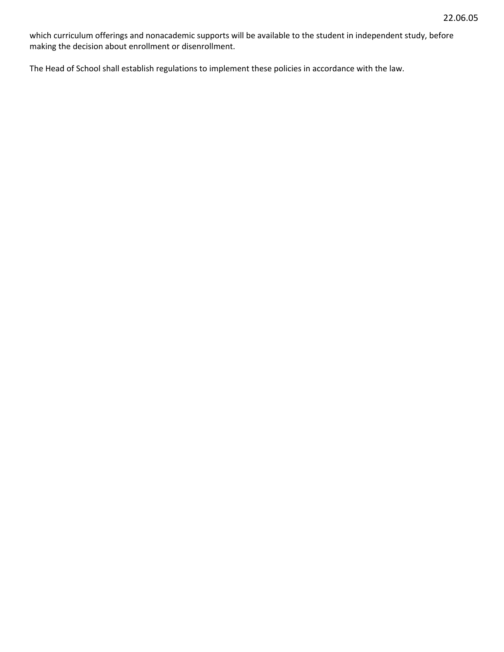which curriculum offerings and nonacademic supports will be available to the student in independent study, before making the decision about enrollment or disenrollment.

The Head of School shall establish regulations to implement these policies in accordance with the law.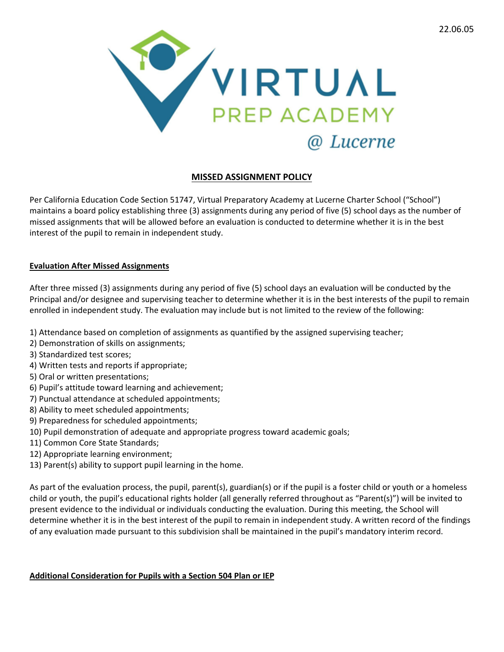

### <span id="page-25-0"></span>**MISSED ASSIGNMENT POLICY**

Per California Education Code Section 51747, Virtual Preparatory Academy at Lucerne Charter School ("School") maintains a board policy establishing three (3) assignments during any period of five (5) school days as the number of missed assignments that will be allowed before an evaluation is conducted to determine whether it is in the best interest of the pupil to remain in independent study.

#### **Evaluation After Missed Assignments**

After three missed (3) assignments during any period of five (5) school days an evaluation will be conducted by the Principal and/or designee and supervising teacher to determine whether it is in the best interests of the pupil to remain enrolled in independent study. The evaluation may include but is not limited to the review of the following:

- 1) Attendance based on completion of assignments as quantified by the assigned supervising teacher;
- 2) Demonstration of skills on assignments;
- 3) Standardized test scores;
- 4) Written tests and reports if appropriate;
- 5) Oral or written presentations;
- 6) Pupil's attitude toward learning and achievement;
- 7) Punctual attendance at scheduled appointments;
- 8) Ability to meet scheduled appointments;
- 9) Preparedness for scheduled appointments;
- 10) Pupil demonstration of adequate and appropriate progress toward academic goals;
- 11) Common Core State Standards;
- 12) Appropriate learning environment;
- 13) Parent(s) ability to support pupil learning in the home.

As part of the evaluation process, the pupil, parent(s), guardian(s) or if the pupil is a foster child or youth or a homeless child or youth, the pupil's educational rights holder (all generally referred throughout as "Parent(s)") will be invited to present evidence to the individual or individuals conducting the evaluation. During this meeting, the School will determine whether it is in the best interest of the pupil to remain in independent study. A written record of the findings of any evaluation made pursuant to this subdivision shall be maintained in the pupil's mandatory interim record.

#### **Additional Consideration for Pupils with a Section 504 Plan or IEP**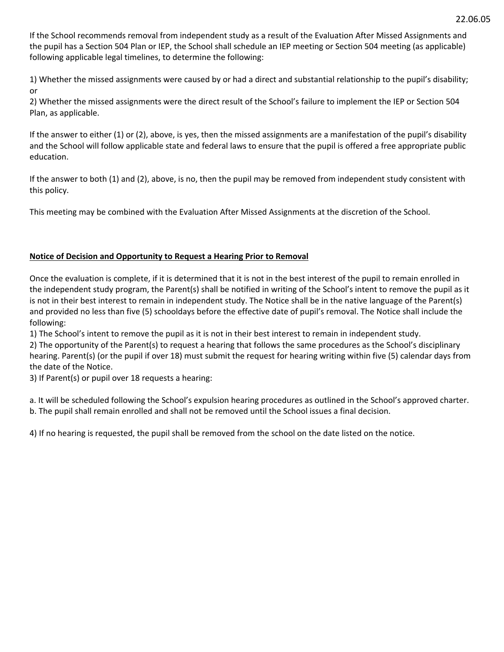If the School recommends removal from independent study as a result of the Evaluation After Missed Assignments and the pupil has a Section 504 Plan or IEP, the School shall schedule an IEP meeting or Section 504 meeting (as applicable) following applicable legal timelines, to determine the following:

1) Whether the missed assignments were caused by or had a direct and substantial relationship to the pupil's disability; or

2) Whether the missed assignments were the direct result of the School's failure to implement the IEP or Section 504 Plan, as applicable.

If the answer to either (1) or (2), above, is yes, then the missed assignments are a manifestation of the pupil's disability and the School will follow applicable state and federal laws to ensure that the pupil is offered a free appropriate public education.

If the answer to both (1) and (2), above, is no, then the pupil may be removed from independent study consistent with this policy.

This meeting may be combined with the Evaluation After Missed Assignments at the discretion of the School.

### **Notice of Decision and Opportunity to Request a Hearing Prior to Removal**

Once the evaluation is complete, if it is determined that it is not in the best interest of the pupil to remain enrolled in the independent study program, the Parent(s) shall be notified in writing of the School's intent to remove the pupil as it is not in their best interest to remain in independent study. The Notice shall be in the native language of the Parent(s) and provided no less than five (5) schooldays before the effective date of pupil's removal. The Notice shall include the following:

1) The School's intent to remove the pupil as it is not in their best interest to remain in independent study.

2) The opportunity of the Parent(s) to request a hearing that follows the same procedures as the School's disciplinary hearing. Parent(s) (or the pupil if over 18) must submit the request for hearing writing within five (5) calendar days from the date of the Notice.

3) If Parent(s) or pupil over 18 requests a hearing:

a. It will be scheduled following the School's expulsion hearing procedures as outlined in the School's approved charter. b. The pupil shall remain enrolled and shall not be removed until the School issues a final decision.

4) If no hearing is requested, the pupil shall be removed from the school on the date listed on the notice.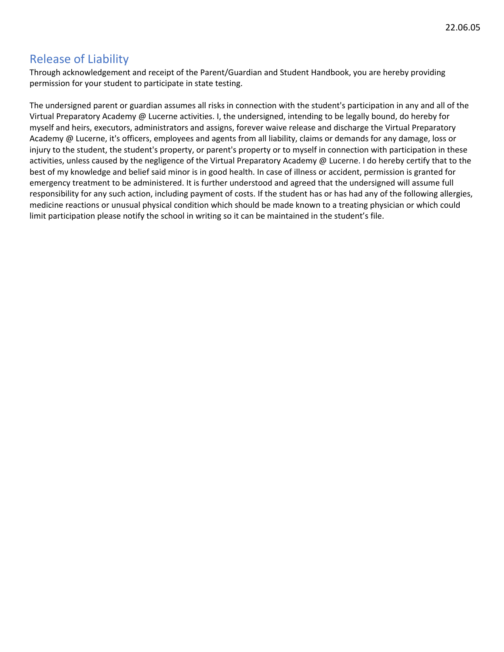# <span id="page-27-0"></span>Release of Liability

Through acknowledgement and receipt of the Parent/Guardian and Student Handbook, you are hereby providing permission for your student to participate in state testing.

The undersigned parent or guardian assumes all risks in connection with the student's participation in any and all of the Virtual Preparatory Academy @ Lucerne activities. I, the undersigned, intending to be legally bound, do hereby for myself and heirs, executors, administrators and assigns, forever waive release and discharge the Virtual Preparatory Academy @ Lucerne, it's officers, employees and agents from all liability, claims or demands for any damage, loss or injury to the student, the student's property, or parent's property or to myself in connection with participation in these activities, unless caused by the negligence of the Virtual Preparatory Academy @ Lucerne. I do hereby certify that to the best of my knowledge and belief said minor is in good health. In case of illness or accident, permission is granted for emergency treatment to be administered. It is further understood and agreed that the undersigned will assume full responsibility for any such action, including payment of costs. If the student has or has had any of the following allergies, medicine reactions or unusual physical condition which should be made known to a treating physician or which could limit participation please notify the school in writing so it can be maintained in the student's file.